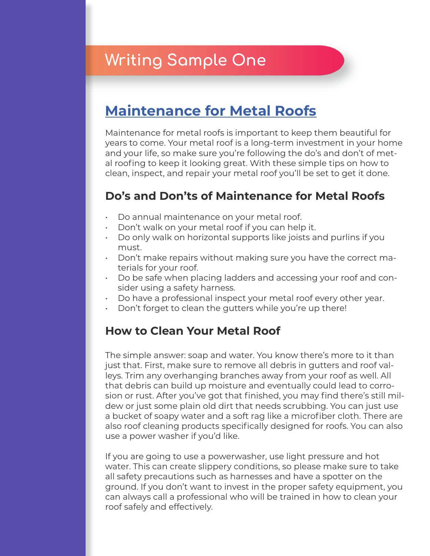# **Writing Sample One**

## **[Maintenance for Metal Roofs](https://www.weathervaneroofing.com/maintenance-for-metal-roofs/)**

Maintenance for metal roofs is important to keep them beautiful for years to come. Your metal roof is a long-term investment in your home and your life, so make sure you're following the do's and don't of metal roofing to keep it looking great. With these simple tips on how to clean, inspect, and repair your metal roof you'll be set to get it done.

### **Do's and Don'ts of Maintenance for Metal Roofs**

- Do annual maintenance on your metal roof.
- Don't walk on your metal roof if you can help it.
- Do only walk on horizontal supports like joists and purlins if you must.
- Don't make repairs without making sure you have the correct materials for your roof.
- Do be safe when placing ladders and accessing your roof and consider using a safety harness.
- Do have a professional inspect your metal roof every other year.
- Don't forget to clean the gutters while you're up there!

### **How to Clean Your Metal Roof**

The simple answer: soap and water. You know there's more to it than just that. First, make sure to remove all debris in gutters and roof valleys. Trim any overhanging branches away from your roof as well. All that debris can build up moisture and eventually could lead to corrosion or rust. After you've got that finished, you may find there's still mildew or just some plain old dirt that needs scrubbing. You can just use a bucket of soapy water and a soft rag like a microfiber cloth. There are also roof cleaning products specifically designed for roofs. You can also use a power washer if you'd like.

If you are going to use a powerwasher, use light pressure and hot water. This can create slippery conditions, so please make sure to take all safety precautions such as harnesses and have a spotter on the ground. If you don't want to invest in the proper safety equipment, you can always call a professional who will be trained in how to clean your roof safely and effectively.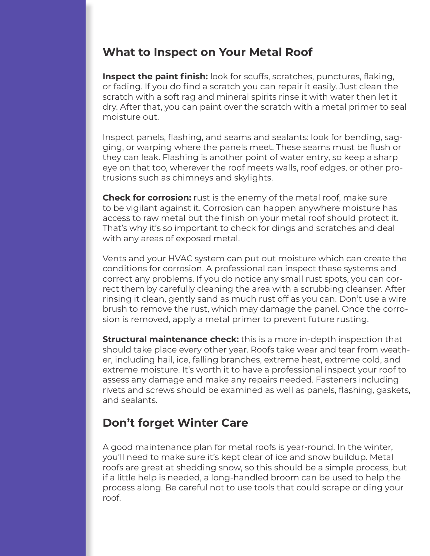#### **What to Inspect on Your Metal Roof**

**Inspect the paint finish:** look for scuffs, scratches, punctures, flaking, or fading. If you do find a scratch you can repair it easily. Just clean the scratch with a soft rag and mineral spirits rinse it with water then let it dry. After that, you can paint over the scratch with a metal primer to seal moisture out.

Inspect panels, flashing, and seams and sealants: look for bending, sagging, or warping where the panels meet. These seams must be flush or they can leak. Flashing is another point of water entry, so keep a sharp eye on that too, wherever the roof meets walls, roof edges, or other protrusions such as chimneys and skylights.

**Check for corrosion:** rust is the enemy of the metal roof, make sure to be vigilant against it. Corrosion can happen anywhere moisture has access to raw metal but the finish on your metal roof should protect it. That's why it's so important to check for dings and scratches and deal with any areas of exposed metal.

Vents and your HVAC system can put out moisture which can create the conditions for corrosion. A professional can inspect these systems and correct any problems. If you do notice any small rust spots, you can correct them by carefully cleaning the area with a scrubbing cleanser. After rinsing it clean, gently sand as much rust off as you can. Don't use a wire brush to remove the rust, which may damage the panel. Once the corrosion is removed, apply a metal primer to prevent future rusting.

**Structural maintenance check:** this is a more in-depth inspection that should take place every other year. Roofs take wear and tear from weather, including hail, ice, falling branches, extreme heat, extreme cold, and extreme moisture. It's worth it to have a professional inspect your roof to assess any damage and make any repairs needed. Fasteners including rivets and screws should be examined as well as panels, flashing, gaskets, and sealants.

### **Don't forget Winter Care**

A good maintenance plan for metal roofs is year-round. In the winter, you'll need to make sure it's kept clear of ice and snow buildup. Metal roofs are great at shedding snow, so this should be a simple process, but if a little help is needed, a long-handled broom can be used to help the process along. Be careful not to use tools that could scrape or ding your roof.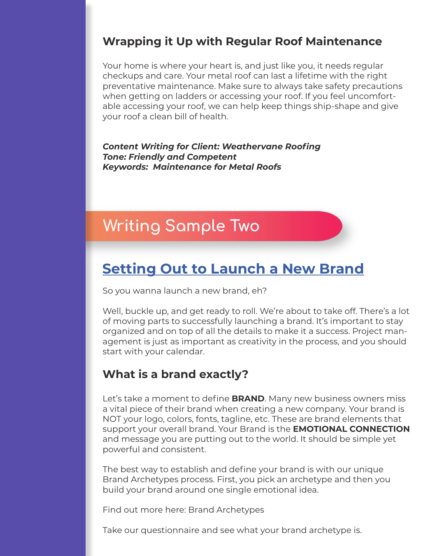### **Wrapping it Up with Regular Roof Maintenance**

Your home is where your heart is, and just like you, it needs regular checkups and care. Your metal roof can last a lifetime with the right preventative maintenance. Make sure to always take safety precautions when getting on ladders or accessing your roof. If you feel uncomfortable accessing your roof, we can help keep things ship-shape and give your roof a clean bill of health.

*Content Writing for Client: Weathervane Roofing Tone: Friendly and Competent Keywords: Maintenance for Metal Roofs*

## **Writing Sample Two**

### **[Setting Out to Launch a New Brand](https://zeediamedia.com/setting-out-to-launch-a-new-brand/)**

So you wanna launch a new brand, eh?

Well, buckle up, and get ready to roll. We're about to take off. There's a lot of moving parts to successfully launching a brand. It's important to stay organized and on top of all the details to make it a success. Project management is just as important as creativity in the process, and you should start with your calendar.

### **What is a brand exactly?**

Let's take a moment to define **BRAND**. Many new business owners miss a vital piece of their brand when creating a new company. Your brand is NOT your logo, colors, fonts, tagline, etc. These are brand elements that support your overall brand. Your Brand is the **EMOTIONAL CONNECTION** and message you are putting out to the world. It should be simple yet powerful and consistent.

The best way to establish and define your brand is with our unique Brand Archetypes process. First, you pick an archetype and then you build your brand around one single emotional idea.

Find out more here: Brand Archetypes

Take our questionnaire and see what your brand archetype is.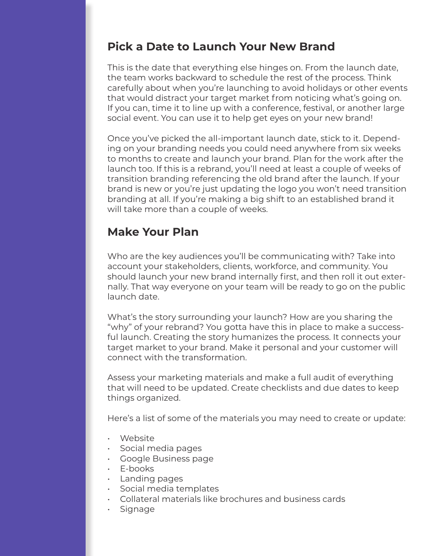### **Pick a Date to Launch Your New Brand**

This is the date that everything else hinges on. From the launch date, the team works backward to schedule the rest of the process. Think carefully about when you're launching to avoid holidays or other events that would distract your target market from noticing what's going on. If you can, time it to line up with a conference, festival, or another large social event. You can use it to help get eyes on your new brand!

Once you've picked the all-important launch date, stick to it. Depending on your branding needs you could need anywhere from six weeks to months to create and launch your brand. Plan for the work after the launch too. If this is a rebrand, you'll need at least a couple of weeks of transition branding referencing the old brand after the launch. If your brand is new or you're just updating the logo you won't need transition branding at all. If you're making a big shift to an established brand it will take more than a couple of weeks.

### **Make Your Plan**

Who are the key audiences you'll be communicating with? Take into account your stakeholders, clients, workforce, and community. You should launch your new brand internally first, and then roll it out externally. That way everyone on your team will be ready to go on the public launch date.

What's the story surrounding your launch? How are you sharing the "why" of your rebrand? You gotta have this in place to make a successful launch. Creating the story humanizes the process. It connects your target market to your brand. Make it personal and your customer will connect with the transformation.

Assess your marketing materials and make a full audit of everything that will need to be updated. Create checklists and due dates to keep things organized.

Here's a list of some of the materials you may need to create or update:

- Website
- Social media pages
- Google Business page
- E-books
- Landing pages
- Social media templates
- Collateral materials like brochures and business cards
- Signage